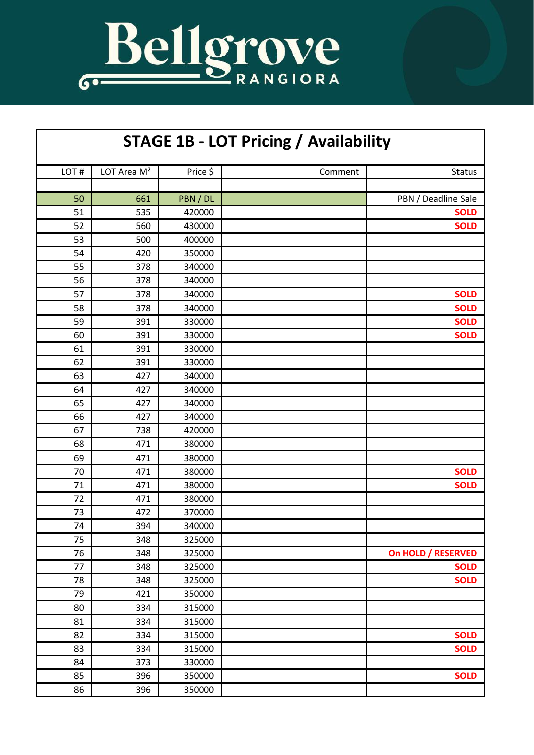

| <b>STAGE 1B - LOT Pricing / Availability</b> |                         |          |         |                     |  |  |
|----------------------------------------------|-------------------------|----------|---------|---------------------|--|--|
| LOT#                                         | LOT Area M <sup>2</sup> | Price \$ | Comment | Status              |  |  |
|                                              |                         |          |         |                     |  |  |
| 50                                           | 661                     | PBN / DL |         | PBN / Deadline Sale |  |  |
| 51                                           | 535                     | 420000   |         | <b>SOLD</b>         |  |  |
| 52                                           | 560                     | 430000   |         | <b>SOLD</b>         |  |  |
| 53                                           | 500                     | 400000   |         |                     |  |  |
| 54                                           | 420                     | 350000   |         |                     |  |  |
| 55                                           | 378                     | 340000   |         |                     |  |  |
| 56                                           | 378                     | 340000   |         |                     |  |  |
| 57                                           | 378                     | 340000   |         | <b>SOLD</b>         |  |  |
| 58                                           | 378                     | 340000   |         | <b>SOLD</b>         |  |  |
| 59                                           | 391                     | 330000   |         | <b>SOLD</b>         |  |  |
| 60                                           | 391                     | 330000   |         | <b>SOLD</b>         |  |  |
| 61                                           | 391                     | 330000   |         |                     |  |  |
| 62                                           | 391                     | 330000   |         |                     |  |  |
| 63                                           | 427                     | 340000   |         |                     |  |  |
| 64                                           | 427                     | 340000   |         |                     |  |  |
| 65                                           | 427                     | 340000   |         |                     |  |  |
| 66                                           | 427                     | 340000   |         |                     |  |  |
| 67                                           | 738                     | 420000   |         |                     |  |  |
| 68                                           | 471                     | 380000   |         |                     |  |  |
| 69                                           | 471                     | 380000   |         |                     |  |  |
| 70                                           | 471                     | 380000   |         | <b>SOLD</b>         |  |  |
| 71                                           | 471                     | 380000   |         | <b>SOLD</b>         |  |  |
| 72                                           | 471                     | 380000   |         |                     |  |  |
| 73                                           | 472                     | 370000   |         |                     |  |  |
| 74                                           | 394                     | 340000   |         |                     |  |  |
| 75                                           | 348                     | 325000   |         |                     |  |  |
| 76                                           | 348                     | 325000   |         | On HOLD / RESERVED  |  |  |
| 77                                           | 348                     | 325000   |         | <b>SOLD</b>         |  |  |
| 78                                           | 348                     | 325000   |         | <b>SOLD</b>         |  |  |
| 79                                           | 421                     | 350000   |         |                     |  |  |
| 80                                           | 334                     | 315000   |         |                     |  |  |
| 81                                           | 334                     | 315000   |         |                     |  |  |
| 82                                           | 334                     | 315000   |         | <b>SOLD</b>         |  |  |
| 83                                           | 334                     | 315000   |         | <b>SOLD</b>         |  |  |
| 84                                           | 373                     | 330000   |         |                     |  |  |
| 85                                           | 396                     | 350000   |         | <b>SOLD</b>         |  |  |
| 86                                           | 396                     | 350000   |         |                     |  |  |